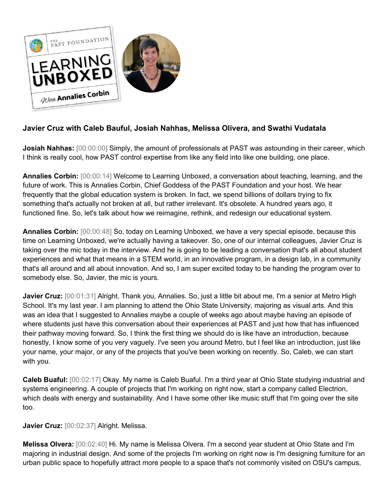

## **Javier Cruz with Caleb Bauful, Josiah Nahhas, Melissa Olivera, and Swathi Vudatala**

**Josiah Nahhas:**  $[00:00:00]$  Simply, the amount of professionals at PAST was astounding in their career, which I think is really cool, how PAST control expertise from like any field into like one building, one place.

**Annalies Corbin:** [00:00:14] Welcome to Learning Unboxed, a conversation about teaching, learning, and the future of work. This is Annalies Corbin, Chief Goddess of the PAST Foundation and your host. We hear frequently that the global education system is broken. In fact, we spend billions of dollars trying to fix something that's actually not broken at all, but rather irrelevant. It's obsolete. A hundred years ago, it functioned fine. So, let's talk about how we reimagine, rethink, and redesign our educational system.

**Annalies Corbin:** [00:00:48] So, today on Learning Unboxed, we have a very special episode, because this time on Learning Unboxed, we're actually having a takeover. So, one of our internal colleagues, Javier Cruz is taking over the mic today in the interview. And he is going to be leading a conversation that's all about student experiences and what that means in a STEM world, in an innovative program, in a design lab, in a community that's all around and all about innovation. And so, I am super excited today to be handing the program over to somebody else. So, Javier, the mic is yours.

**Javier Cruz:** [00:01:31] Alright. Thank you, Annalies. So, just a little bit about me, I'm a senior at Metro High School. It's my last year. I am planning to attend the Ohio State University, majoring as visual arts. And this was an idea that I suggested to Annalies maybe a couple of weeks ago about maybe having an episode of where students just have this conversation about their experiences at PAST and just how that has influenced their pathway moving forward. So, I think the first thing we should do is like have an introduction, because honestly, I know some of you very vaguely. I've seen you around Metro, but I feel like an introduction, just like your name, your major, or any of the projects that you've been working on recently. So, Caleb, we can start with you.

**Caleb Buaful:** [00:02:17] Okay. My name is Caleb Buaful. I'm a third year at Ohio State studying industrial and systems engineering. A couple of projects that I'm working on right now, start a company called Electrion, which deals with energy and sustainability. And I have some other like music stuff that I'm going over the site too.

**Javier Cruz:** [00:02:37] Alright. Melissa.

**Melissa Olvera:** [00:02:40] Hi. My name is Melissa Olvera. I'm a second year student at Ohio State and I'm majoring in industrial design. And some of the projects I'm working on right now is I'm designing furniture for an urban public space to hopefully attract more people to a space that's not commonly visited on OSU's campus,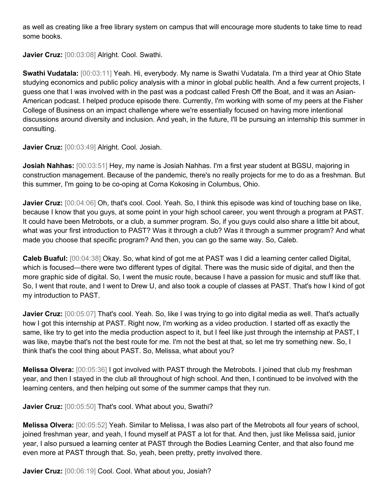as well as creating like a free library system on campus that will encourage more students to take time to read some books.

**Javier Cruz:** [00:03:08] Alright. Cool. Swathi.

**Swathi Vudatala:** [00:03:11] Yeah. Hi, everybody. My name is Swathi Vudatala. I'm a third year at Ohio State studying economics and public policy analysis with a minor in global public health. And a few current projects, I guess one that I was involved with in the past was a podcast called Fresh Off the Boat, and it was an Asian-American podcast. I helped produce episode there. Currently, I'm working with some of my peers at the Fisher College of Business on an impact challenge where we're essentially focused on having more intentional discussions around diversity and inclusion. And yeah, in the future, I'll be pursuing an internship this summer in consulting.

**Javier Cruz:** [00:03:49] Alright. Cool. Josiah.

**Josiah Nahhas:** [00:03:51] Hey, my name is Josiah Nahhas. I'm a first year student at BGSU, majoring in construction management. Because of the pandemic, there's no really projects for me to do as a freshman. But this summer, I'm going to be co-oping at Corna Kokosing in Columbus, Ohio.

**Javier Cruz:** [00:04:06] Oh, that's cool. Cool. Yeah. So, I think this episode was kind of touching base on like, because I know that you guys, at some point in your high school career, you went through a program at PAST. It could have been Metrobots, or a club, a summer program. So, if you guys could also share a little bit about, what was your first introduction to PAST? Was it through a club? Was it through a summer program? And what made you choose that specific program? And then, you can go the same way. So, Caleb.

**Caleb Buaful:** [00:04:38] Okay. So, what kind of got me at PAST was I did a learning center called Digital, which is focused—there were two different types of digital. There was the music side of digital, and then the more graphic side of digital. So, I went the music route, because I have a passion for music and stuff like that. So, I went that route, and I went to Drew U, and also took a couple of classes at PAST. That's how I kind of got my introduction to PAST.

**Javier Cruz:** [00:05:07] That's cool. Yeah. So, like I was trying to go into digital media as well. That's actually how I got this internship at PAST. Right now, I'm working as a video production. I started off as exactly the same, like try to get into the media production aspect to it, but I feel like just through the internship at PAST, I was like, maybe that's not the best route for me. I'm not the best at that, so let me try something new. So, I think that's the cool thing about PAST. So, Melissa, what about you?

**Melissa Olvera:** [00:05:36] I got involved with PAST through the Metrobots. I joined that club my freshman year, and then I stayed in the club all throughout of high school. And then, I continued to be involved with the learning centers, and then helping out some of the summer camps that they run.

**Javier Cruz:** [00:05:50] That's cool. What about you, Swathi?

**Melissa Olvera:** [00:05:52] Yeah. Similar to Melissa, I was also part of the Metrobots all four years of school, joined freshman year, and yeah, I found myself at PAST a lot for that. And then, just like Melissa said, junior year, I also pursued a learning center at PAST through the Bodies Learning Center, and that also found me even more at PAST through that. So, yeah, been pretty, pretty involved there.

Javier Cruz: [00:06:19] Cool. Cool. What about you, Josiah?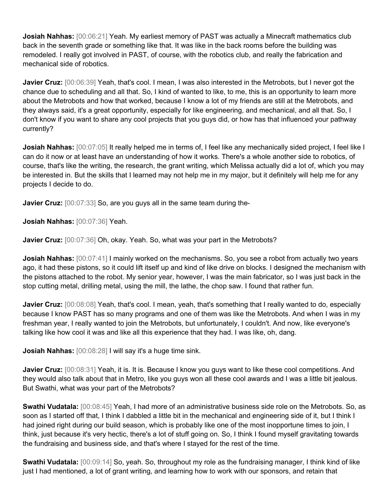**Josiah Nahhas:**  $[00:06:21]$  Yeah. My earliest memory of PAST was actually a Minecraft mathematics club back in the seventh grade or something like that. It was like in the back rooms before the building was remodeled. I really got involved in PAST, of course, with the robotics club, and really the fabrication and mechanical side of robotics.

**Javier Cruz:** [00:06:39] Yeah, that's cool. I mean, I was also interested in the Metrobots, but I never got the chance due to scheduling and all that. So, I kind of wanted to like, to me, this is an opportunity to learn more about the Metrobots and how that worked, because I know a lot of my friends are still at the Metrobots, and they always said, it's a great opportunity, especially for like engineering, and mechanical, and all that. So, I don't know if you want to share any cool projects that you guys did, or how has that influenced your pathway currently?

**Josiah Nahhas:**  $[00:07:05]$  It really helped me in terms of, I feel like any mechanically sided project, I feel like I can do it now or at least have an understanding of how it works. There's a whole another side to robotics, of course, that's like the writing, the research, the grant writing, which Melissa actually did a lot of, which you may be interested in. But the skills that I learned may not help me in my major, but it definitely will help me for any projects I decide to do.

**Javier Cruz:** [00:07:33] So, are you guys all in the same team during the-

**Josiah Nahhas:** [00:07:36] Yeah.

**Javier Cruz:** [00:07:36] Oh, okay. Yeah. So, what was your part in the Metrobots?

**Josiah Nahhas:**  $[00:07:41]$  I mainly worked on the mechanisms. So, you see a robot from actually two years ago, it had these pistons, so it could lift itself up and kind of like drive on blocks. I designed the mechanism with the pistons attached to the robot. My senior year, however, I was the main fabricator, so I was just back in the stop cutting metal, drilling metal, using the mill, the lathe, the chop saw. I found that rather fun.

Javier Cruz:  $[00:08:08]$  Yeah, that's cool. I mean, yeah, that's something that I really wanted to do, especially because I know PAST has so many programs and one of them was like the Metrobots. And when I was in my freshman year, I really wanted to join the Metrobots, but unfortunately, I couldn't. And now, like everyone's talking like how cool it was and like all this experience that they had. I was like, oh, dang.

**Josiah Nahhas:** [00:08:28] I will say it's a huge time sink.

**Javier Cruz:** [00:08:31] Yeah, it is. It is. Because I know you guys want to like these cool competitions. And they would also talk about that in Metro, like you guys won all these cool awards and I was a little bit jealous. But Swathi, what was your part of the Metrobots?

**Swathi Vudatala:** [00:08:45] Yeah, I had more of an administrative business side role on the Metrobots. So, as soon as I started off that, I think I dabbled a little bit in the mechanical and engineering side of it, but I think I had joined right during our build season, which is probably like one of the most inopportune times to join, I think, just because it's very hectic, there's a lot of stuff going on. So, I think I found myself gravitating towards the fundraising and business side, and that's where I stayed for the rest of the time.

**Swathi Vudatala:** [00:09:14] So, yeah. So, throughout my role as the fundraising manager, I think kind of like just I had mentioned, a lot of grant writing, and learning how to work with our sponsors, and retain that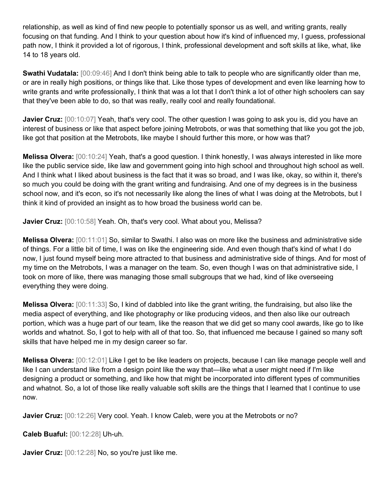relationship, as well as kind of find new people to potentially sponsor us as well, and writing grants, really focusing on that funding. And I think to your question about how it's kind of influenced my, I guess, professional path now, I think it provided a lot of rigorous, I think, professional development and soft skills at like, what, like 14 to 18 years old.

**Swathi Vudatala:** [00:09:46] And I don't think being able to talk to people who are significantly older than me, or are in really high positions, or things like that. Like those types of development and even like learning how to write grants and write professionally, I think that was a lot that I don't think a lot of other high schoolers can say that they've been able to do, so that was really, really cool and really foundational.

**Javier Cruz:** [00:10:07] Yeah, that's very cool. The other question I was going to ask you is, did you have an interest of business or like that aspect before joining Metrobots, or was that something that like you got the job, like got that position at the Metrobots, like maybe I should further this more, or how was that?

**Melissa Olvera:** [00:10:24] Yeah, that's a good question. I think honestly, I was always interested in like more like the public service side, like law and government going into high school and throughout high school as well. And I think what I liked about business is the fact that it was so broad, and I was like, okay, so within it, there's so much you could be doing with the grant writing and fundraising. And one of my degrees is in the business school now, and it's econ, so it's not necessarily like along the lines of what I was doing at the Metrobots, but I think it kind of provided an insight as to how broad the business world can be.

**Javier Cruz:** [00:10:58] Yeah. Oh, that's very cool. What about you, Melissa?

**Melissa Olvera:** [00:11:01] So, similar to Swathi. I also was on more like the business and administrative side of things. For a little bit of time, I was on like the engineering side. And even though that's kind of what I do now, I just found myself being more attracted to that business and administrative side of things. And for most of my time on the Metrobots, I was a manager on the team. So, even though I was on that administrative side, I took on more of like, there was managing those small subgroups that we had, kind of like overseeing everything they were doing.

**Melissa Olvera:** [00:11:33] So, I kind of dabbled into like the grant writing, the fundraising, but also like the media aspect of everything, and like photography or like producing videos, and then also like our outreach portion, which was a huge part of our team, like the reason that we did get so many cool awards, like go to like worlds and whatnot. So, I got to help with all of that too. So, that influenced me because I gained so many soft skills that have helped me in my design career so far.

**Melissa Olvera:** [00:12:01] Like I get to be like leaders on projects, because I can like manage people well and like I can understand like from a design point like the way that—like what a user might need if I'm like designing a product or something, and like how that might be incorporated into different types of communities and whatnot. So, a lot of those like really valuable soft skills are the things that I learned that I continue to use now.

**Javier Cruz:** [00:12:26] Very cool. Yeah. I know Caleb, were you at the Metrobots or no?

**Caleb Buaful:** [00:12:28] Uh-uh.

**Javier Cruz:** [00:12:28] No, so you're just like me.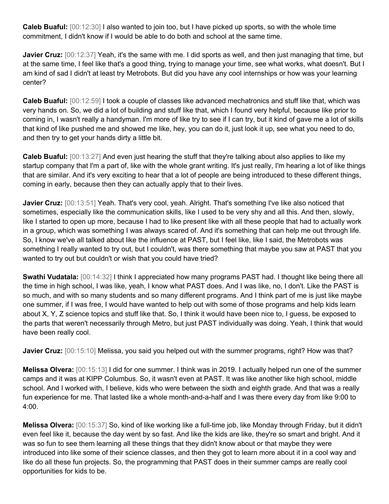**Caleb Buaful:** [00:12:30] I also wanted to join too, but I have picked up sports, so with the whole time commitment, I didn't know if I would be able to do both and school at the same time.

**Javier Cruz:** [00:12:37] Yeah, it's the same with me. I did sports as well, and then just managing that time, but at the same time, I feel like that's a good thing, trying to manage your time, see what works, what doesn't. But I am kind of sad I didn't at least try Metrobots. But did you have any cool internships or how was your learning center?

**Caleb Buaful:** [00:12:59] I took a couple of classes like advanced mechatronics and stuff like that, which was very hands on. So, we did a lot of building and stuff like that, which I found very helpful, because like prior to coming in, I wasn't really a handyman. I'm more of like try to see if I can try, but it kind of gave me a lot of skills that kind of like pushed me and showed me like, hey, you can do it, just look it up, see what you need to do, and then try to get your hands dirty a little bit.

**Caleb Buaful:** [00:13:27] And even just hearing the stuff that they're talking about also applies to like my startup company that I'm a part of, like with the whole grant writing. It's just really, I'm hearing a lot of like things that are similar. And it's very exciting to hear that a lot of people are being introduced to these different things, coming in early, because then they can actually apply that to their lives.

**Javier Cruz:** [00:13:51] Yeah. That's very cool, yeah. Alright. That's something I've like also noticed that sometimes, especially like the communication skills, like I used to be very shy and all this. And then, slowly, like I started to open up more, because I had to like present like with all these people that had to actually work in a group, which was something I was always scared of. And it's something that can help me out through life. So, I know we've all talked about like the influence at PAST, but I feel like, like I said, the Metrobots was something I really wanted to try out, but I couldn't, was there something that maybe you saw at PAST that you wanted to try out but couldn't or wish that you could have tried?

**Swathi Vudatala:** [00:14:32] I think I appreciated how many programs PAST had. I thought like being there all the time in high school, I was like, yeah, I know what PAST does. And I was like, no, I don't. Like the PAST is so much, and with so many students and so many different programs. And I think part of me is just like maybe one summer, if I was free, I would have wanted to help out with some of those programs and help kids learn about X, Y, Z science topics and stuff like that. So, I think it would have been nice to, I guess, be exposed to the parts that weren't necessarily through Metro, but just PAST individually was doing. Yeah, I think that would have been really cool.

**Javier Cruz:** [00:15:10] Melissa, you said you helped out with the summer programs, right? How was that?

**Melissa Olvera:** [00:15:13] I did for one summer. I think was in 2019. I actually helped run one of the summer camps and it was at KIPP Columbus. So, it wasn't even at PAST. It was like another like high school, middle school. And I worked with, I believe, kids who were between the sixth and eighth grade. And that was a really fun experience for me. That lasted like a whole month-and-a-half and I was there every day from like 9:00 to 4:00.

**Melissa Olvera:** [00:15:37] So, kind of like working like a full-time job, like Monday through Friday, but it didn't even feel like it, because the day went by so fast. And like the kids are like, they're so smart and bright. And it was so fun to see them learning all these things that they didn't know about or that maybe they were introduced into like some of their science classes, and then they got to learn more about it in a cool way and like do all these fun projects. So, the programming that PAST does in their summer camps are really cool opportunities for kids to be.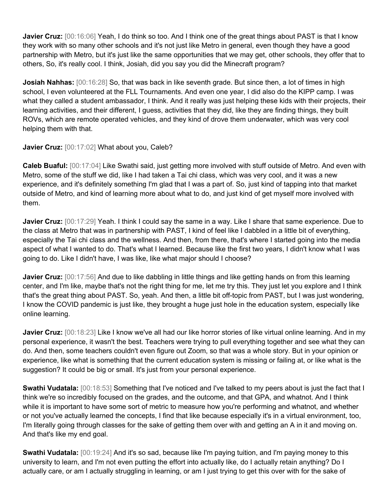**Javier Cruz:**  $[00:16:06]$  Yeah, I do think so too. And I think one of the great things about PAST is that I know they work with so many other schools and it's not just like Metro in general, even though they have a good partnership with Metro, but it's just like the same opportunities that we may get, other schools, they offer that to others, So, it's really cool. I think, Josiah, did you say you did the Minecraft program?

**Josiah Nahhas:** [00:16:28] So, that was back in like seventh grade. But since then, a lot of times in high school, I even volunteered at the FLL Tournaments. And even one year, I did also do the KIPP camp. I was what they called a student ambassador, I think. And it really was just helping these kids with their projects, their learning activities, and their different, I guess, activities that they did, like they are finding things, they built ROVs, which are remote operated vehicles, and they kind of drove them underwater, which was very cool helping them with that.

Javier Cruz: [00:17:02] What about you, Caleb?

**Caleb Buaful:** [00:17:04] Like Swathi said, just getting more involved with stuff outside of Metro. And even with Metro, some of the stuff we did, like I had taken a Tai chi class, which was very cool, and it was a new experience, and it's definitely something I'm glad that I was a part of. So, just kind of tapping into that market outside of Metro, and kind of learning more about what to do, and just kind of get myself more involved with them.

**Javier Cruz:** [00:17:29] Yeah. I think I could say the same in a way. Like I share that same experience. Due to the class at Metro that was in partnership with PAST, I kind of feel like I dabbled in a little bit of everything, especially the Tai chi class and the wellness. And then, from there, that's where I started going into the media aspect of what I wanted to do. That's what I learned. Because like the first two years, I didn't know what I was going to do. Like I didn't have, I was like, like what major should I choose?

**Javier Cruz:** [00:17:56] And due to like dabbling in little things and like getting hands on from this learning center, and I'm like, maybe that's not the right thing for me, let me try this. They just let you explore and I think that's the great thing about PAST. So, yeah. And then, a little bit off-topic from PAST, but I was just wondering, I know the COVID pandemic is just like, they brought a huge just hole in the education system, especially like online learning.

**Javier Cruz:** [00:18:23] Like I know we've all had our like horror stories of like virtual online learning. And in my personal experience, it wasn't the best. Teachers were trying to pull everything together and see what they can do. And then, some teachers couldn't even figure out Zoom, so that was a whole story. But in your opinion or experience, like what is something that the current education system is missing or failing at, or like what is the suggestion? It could be big or small. It's just from your personal experience.

**Swathi Vudatala:** [00:18:53] Something that I've noticed and I've talked to my peers about is just the fact that I think we're so incredibly focused on the grades, and the outcome, and that GPA, and whatnot. And I think while it is important to have some sort of metric to measure how you're performing and whatnot, and whether or not you've actually learned the concepts, I find that like because especially it's in a virtual environment, too, I'm literally going through classes for the sake of getting them over with and getting an A in it and moving on. And that's like my end goal.

**Swathi Vudatala:** [00:19:24] And it's so sad, because like I'm paying tuition, and I'm paying money to this university to learn, and I'm not even putting the effort into actually like, do I actually retain anything? Do I actually care, or am I actually struggling in learning, or am I just trying to get this over with for the sake of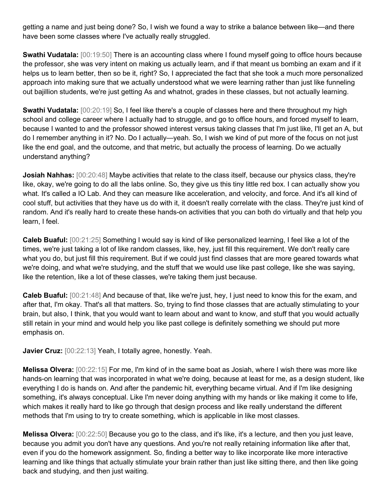getting a name and just being done? So, I wish we found a way to strike a balance between like—and there have been some classes where I've actually really struggled.

**Swathi Vudatala:** [00:19:50] There is an accounting class where I found myself going to office hours because the professor, she was very intent on making us actually learn, and if that meant us bombing an exam and if it helps us to learn better, then so be it, right? So, I appreciated the fact that she took a much more personalized approach into making sure that we actually understood what we were learning rather than just like funneling out bajillion students, we're just getting As and whatnot, grades in these classes, but not actually learning.

**Swathi Vudatala:** [00:20:19] So, I feel like there's a couple of classes here and there throughout my high school and college career where I actually had to struggle, and go to office hours, and forced myself to learn, because I wanted to and the professor showed interest versus taking classes that I'm just like, I'll get an A, but do I remember anything in it? No. Do I actually—yeah. So, I wish we kind of put more of the focus on not just like the end goal, and the outcome, and that metric, but actually the process of learning. Do we actually understand anything?

**Josiah Nahhas:** [00:20:48] Maybe activities that relate to the class itself, because our physics class, they're like, okay, we're going to do all the labs online. So, they give us this tiny little red box. I can actually show you what. It's called a IO Lab. And they can measure like acceleration, and velocity, and force. And it's all kind of cool stuff, but activities that they have us do with it, it doesn't really correlate with the class. They're just kind of random. And it's really hard to create these hands-on activities that you can both do virtually and that help you learn, I feel.

**Caleb Buaful:** [00:21:25] Something I would say is kind of like personalized learning, I feel like a lot of the times, we're just taking a lot of like random classes, like, hey, just fill this requirement. We don't really care what you do, but just fill this requirement. But if we could just find classes that are more geared towards what we're doing, and what we're studying, and the stuff that we would use like past college, like she was saying, like the retention, like a lot of these classes, we're taking them just because.

**Caleb Buaful:** [00:21:48] And because of that, like we're just, hey, I just need to know this for the exam, and after that, I'm okay. That's all that matters. So, trying to find those classes that are actually stimulating to your brain, but also, I think, that you would want to learn about and want to know, and stuff that you would actually still retain in your mind and would help you like past college is definitely something we should put more emphasis on.

**Javier Cruz:** [00:22:13] Yeah, I totally agree, honestly. Yeah.

**Melissa Olvera:** [00:22:15] For me, I'm kind of in the same boat as Josiah, where I wish there was more like hands-on learning that was incorporated in what we're doing, because at least for me, as a design student, like everything I do is hands on. And after the pandemic hit, everything became virtual. And if I'm like designing something, it's always conceptual. Like I'm never doing anything with my hands or like making it come to life, which makes it really hard to like go through that design process and like really understand the different methods that I'm using to try to create something, which is applicable in like most classes.

**Melissa Olvera:** [00:22:50] Because you go to the class, and it's like, it's a lecture, and then you just leave, because you admit you don't have any questions. And you're not really retaining information like after that, even if you do the homework assignment. So, finding a better way to like incorporate like more interactive learning and like things that actually stimulate your brain rather than just like sitting there, and then like going back and studying, and then just waiting.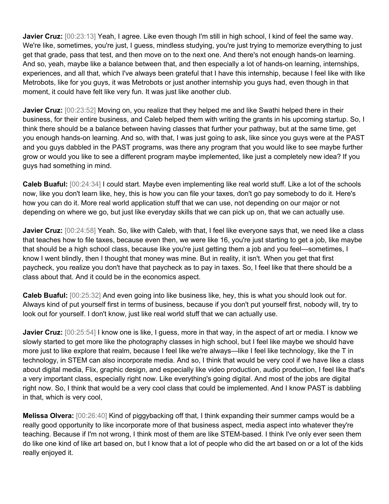**Javier Cruz:**  $[00:23:13]$  Yeah, I agree. Like even though I'm still in high school, I kind of feel the same way. We're like, sometimes, you're just, I guess, mindless studying, you're just trying to memorize everything to just get that grade, pass that test, and then move on to the next one. And there's not enough hands-on learning. And so, yeah, maybe like a balance between that, and then especially a lot of hands-on learning, internships, experiences, and all that, which I've always been grateful that I have this internship, because I feel like with like Metrobots, like for you guys, it was Metrobots or just another internship you guys had, even though in that moment, it could have felt like very fun. It was just like another club.

**Javier Cruz:** [00:23:52] Moving on, you realize that they helped me and like Swathi helped there in their business, for their entire business, and Caleb helped them with writing the grants in his upcoming startup. So, I think there should be a balance between having classes that further your pathway, but at the same time, get you enough hands-on learning. And so, with that, I was just going to ask, like since you guys were at the PAST and you guys dabbled in the PAST programs, was there any program that you would like to see maybe further grow or would you like to see a different program maybe implemented, like just a completely new idea? If you guys had something in mind.

**Caleb Buaful:** [00:24:34] I could start. Maybe even implementing like real world stuff. Like a lot of the schools now, like you don't learn like, hey, this is how you can file your taxes, don't go pay somebody to do it. Here's how you can do it. More real world application stuff that we can use, not depending on our major or not depending on where we go, but just like everyday skills that we can pick up on, that we can actually use.

**Javier Cruz:** [00:24:58] Yeah. So, like with Caleb, with that, I feel like everyone says that, we need like a class that teaches how to file taxes, because even then, we were like 16, you're just starting to get a job, like maybe that should be a high school class, because like you're just getting them a job and you feel—sometimes, I know I went blindly, then I thought that money was mine. But in reality, it isn't. When you get that first paycheck, you realize you don't have that paycheck as to pay in taxes. So, I feel like that there should be a class about that. And it could be in the economics aspect.

**Caleb Buaful:** [00:25:32] And even going into like business like, hey, this is what you should look out for. Always kind of put yourself first in terms of business, because if you don't put yourself first, nobody will, try to look out for yourself. I don't know, just like real world stuff that we can actually use.

**Javier Cruz:** [00:25:54] I know one is like, I guess, more in that way, in the aspect of art or media. I know we slowly started to get more like the photography classes in high school, but I feel like maybe we should have more just to like explore that realm, because I feel like we're always—like I feel like technology, like the T in technology, in STEM can also incorporate media. And so, I think that would be very cool if we have like a class about digital media, Flix, graphic design, and especially like video production, audio production, I feel like that's a very important class, especially right now. Like everything's going digital. And most of the jobs are digital right now. So, I think that would be a very cool class that could be implemented. And I know PAST is dabbling in that, which is very cool,

**Melissa Olvera:** [00:26:40] Kind of piggybacking off that, I think expanding their summer camps would be a really good opportunity to like incorporate more of that business aspect, media aspect into whatever they're teaching. Because if I'm not wrong, I think most of them are like STEM-based. I think I've only ever seen them do like one kind of like art based on, but I know that a lot of people who did the art based on or a lot of the kids really enjoyed it.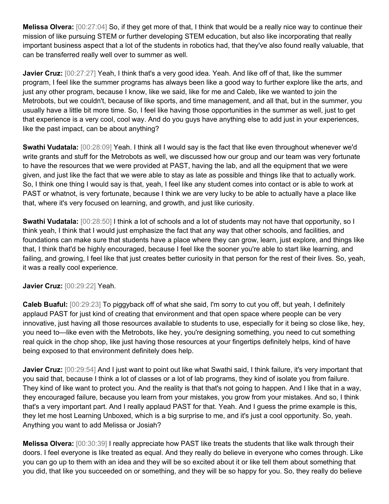**Melissa Olvera:** [00:27:04] So, if they get more of that, I think that would be a really nice way to continue their mission of like pursuing STEM or further developing STEM education, but also like incorporating that really important business aspect that a lot of the students in robotics had, that they've also found really valuable, that can be transferred really well over to summer as well.

**Javier Cruz:** [00:27:27] Yeah, I think that's a very good idea. Yeah. And like off of that, like the summer program, I feel like the summer programs has always been like a good way to further explore like the arts, and just any other program, because I know, like we said, like for me and Caleb, like we wanted to join the Metrobots, but we couldn't, because of like sports, and time management, and all that, but in the summer, you usually have a little bit more time. So, I feel like having those opportunities in the summer as well, just to get that experience is a very cool, cool way. And do you guys have anything else to add just in your experiences, like the past impact, can be about anything?

**Swathi Vudatala:** [00:28:09] Yeah. I think all I would say is the fact that like even throughout whenever we'd write grants and stuff for the Metrobots as well, we discussed how our group and our team was very fortunate to have the resources that we were provided at PAST, having the lab, and all the equipment that we were given, and just like the fact that we were able to stay as late as possible and things like that to actually work. So, I think one thing I would say is that, yeah, I feel like any student comes into contact or is able to work at PAST or whatnot, is very fortunate, because I think we are very lucky to be able to actually have a place like that, where it's very focused on learning, and growth, and just like curiosity.

**Swathi Vudatala:** [00:28:50] I think a lot of schools and a lot of students may not have that opportunity, so I think yeah, I think that I would just emphasize the fact that any way that other schools, and facilities, and foundations can make sure that students have a place where they can grow, learn, just explore, and things like that, I think that'd be highly encouraged, because I feel like the sooner you're able to start like learning, and failing, and growing, I feel like that just creates better curiosity in that person for the rest of their lives. So, yeah, it was a really cool experience.

## **Javier Cruz:** [00:29:22] Yeah.

**Caleb Buaful:** [00:29:23] To piggyback off of what she said, I'm sorry to cut you off, but yeah, I definitely applaud PAST for just kind of creating that environment and that open space where people can be very innovative, just having all those resources available to students to use, especially for it being so close like, hey, you need to—like even with the Metrobots, like hey, you're designing something, you need to cut something real quick in the chop shop, like just having those resources at your fingertips definitely helps, kind of have being exposed to that environment definitely does help.

**Javier Cruz:** [00:29:54] And I just want to point out like what Swathi said, I think failure, it's very important that you said that, because I think a lot of classes or a lot of lab programs, they kind of isolate you from failure. They kind of like want to protect you. And the reality is that that's not going to happen. And I like that in a way, they encouraged failure, because you learn from your mistakes, you grow from your mistakes. And so, I think that's a very important part. And I really applaud PAST for that. Yeah. And I guess the prime example is this, they let me host Learning Unboxed, which is a big surprise to me, and it's just a cool opportunity. So, yeah. Anything you want to add Melissa or Josiah?

**Melissa Olvera:** [00:30:39] I really appreciate how PAST like treats the students that like walk through their doors. I feel everyone is like treated as equal. And they really do believe in everyone who comes through. Like you can go up to them with an idea and they will be so excited about it or like tell them about something that you did, that like you succeeded on or something, and they will be so happy for you. So, they really do believe